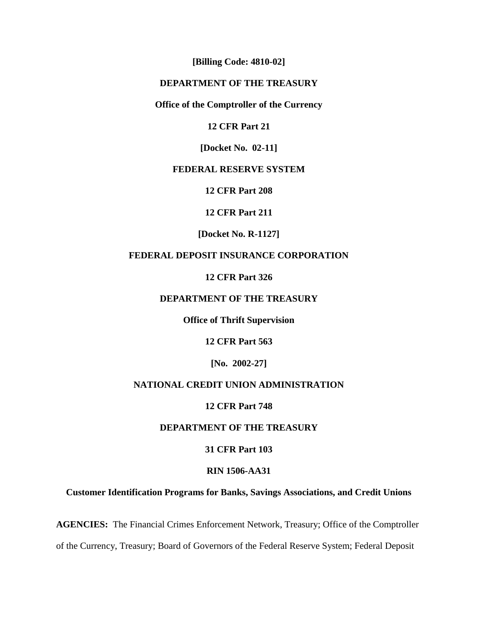**[Billing Code: 4810-02]**

## **DEPARTMENT OF THE TREASURY**

## **Office of the Comptroller of the Currency**

## **12 CFR Part 21**

**[Docket No. 02-11]**

## **FEDERAL RESERVE SYSTEM**

**12 CFR Part 208**

#### **12 CFR Part 211**

**[Docket No. R-1127]**

## **FEDERAL DEPOSIT INSURANCE CORPORATION**

**12 CFR Part 326**

## **DEPARTMENT OF THE TREASURY**

**Office of Thrift Supervision**

**12 CFR Part 563**

**[No. 2002-27]**

## **NATIONAL CREDIT UNION ADMINISTRATION**

#### **12 CFR Part 748**

## **DEPARTMENT OF THE TREASURY**

#### **31 CFR Part 103**

#### **RIN 1506-AA31**

## **Customer Identification Programs for Banks, Savings Associations, and Credit Unions**

**AGENCIES:** The Financial Crimes Enforcement Network, Treasury; Office of the Comptroller

of the Currency, Treasury; Board of Governors of the Federal Reserve System; Federal Deposit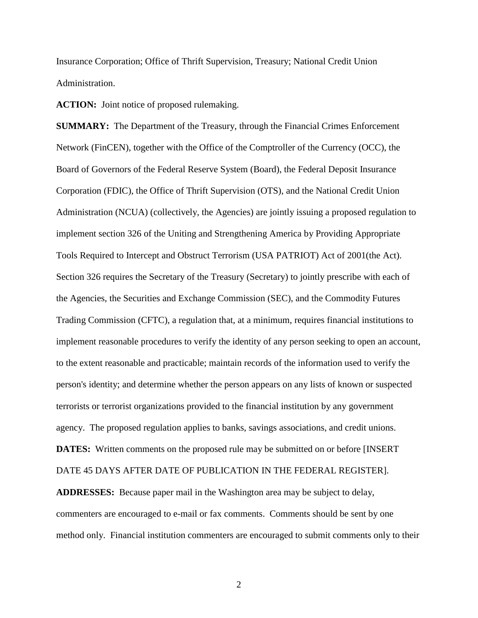Insurance Corporation; Office of Thrift Supervision, Treasury; National Credit Union Administration.

**ACTION:** Joint notice of proposed rulemaking.

**SUMMARY:** The Department of the Treasury, through the Financial Crimes Enforcement Network (FinCEN), together with the Office of the Comptroller of the Currency (OCC), the Board of Governors of the Federal Reserve System (Board), the Federal Deposit Insurance Corporation (FDIC), the Office of Thrift Supervision (OTS), and the National Credit Union Administration (NCUA) (collectively, the Agencies) are jointly issuing a proposed regulation to implement section 326 of the Uniting and Strengthening America by Providing Appropriate Tools Required to Intercept and Obstruct Terrorism (USA PATRIOT) Act of 2001(the Act). Section 326 requires the Secretary of the Treasury (Secretary) to jointly prescribe with each of the Agencies, the Securities and Exchange Commission (SEC), and the Commodity Futures Trading Commission (CFTC), a regulation that, at a minimum, requires financial institutions to implement reasonable procedures to verify the identity of any person seeking to open an account, to the extent reasonable and practicable; maintain records of the information used to verify the person's identity; and determine whether the person appears on any lists of known or suspected terrorists or terrorist organizations provided to the financial institution by any government agency. The proposed regulation applies to banks, savings associations, and credit unions. **DATES:** Written comments on the proposed rule may be submitted on or before [INSERT]

DATE 45 DAYS AFTER DATE OF PUBLICATION IN THE FEDERAL REGISTER].

**ADDRESSES:** Because paper mail in the Washington area may be subject to delay, commenters are encouraged to e-mail or fax comments. Comments should be sent by one method only. Financial institution commenters are encouraged to submit comments only to their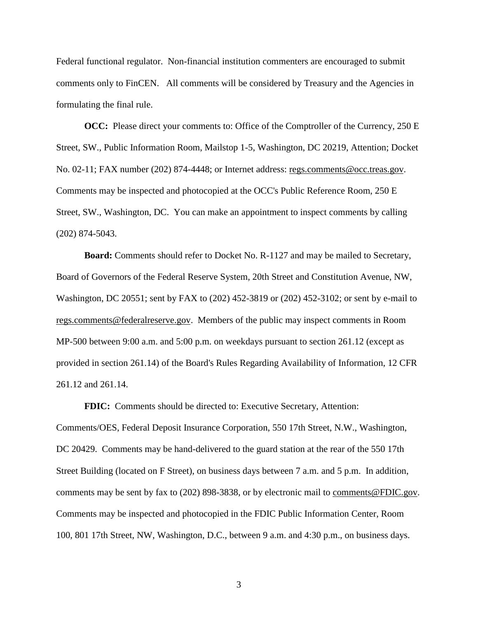Federal functional regulator. Non-financial institution commenters are encouraged to submit comments only to FinCEN. All comments will be considered by Treasury and the Agencies in formulating the final rule.

**OCC:** Please direct your comments to: Office of the Comptroller of the Currency, 250 E Street, SW., Public Information Room, Mailstop 1-5, Washington, DC 20219, Attention; Docket No. 02-11; FAX number (202) 874-4448; or Internet address: regs.comments@occ.treas.gov. Comments may be inspected and photocopied at the OCC's Public Reference Room, 250 E Street, SW., Washington, DC. You can make an appointment to inspect comments by calling (202) 874-5043.

**Board:** Comments should refer to Docket No. R-1127 and may be mailed to Secretary, Board of Governors of the Federal Reserve System, 20th Street and Constitution Avenue, NW, Washington, DC 20551; sent by FAX to (202) 452-3819 or (202) 452-3102; or sent by e-mail to regs.comments@federalreserve.gov. Members of the public may inspect comments in Room MP-500 between 9:00 a.m. and 5:00 p.m. on weekdays pursuant to section 261.12 (except as provided in section 261.14) of the Board's Rules Regarding Availability of Information, 12 CFR 261.12 and 261.14.

**FDIC:** Comments should be directed to: Executive Secretary, Attention: Comments/OES, Federal Deposit Insurance Corporation, 550 17th Street, N.W., Washington, DC 20429. Comments may be hand-delivered to the guard station at the rear of the 550 17th Street Building (located on F Street), on business days between 7 a.m. and 5 p.m. In addition, comments may be sent by fax to (202) 898-3838, or by electronic mail to comments@FDIC.gov. Comments may be inspected and photocopied in the FDIC Public Information Center, Room 100, 801 17th Street, NW, Washington, D.C., between 9 a.m. and 4:30 p.m., on business days.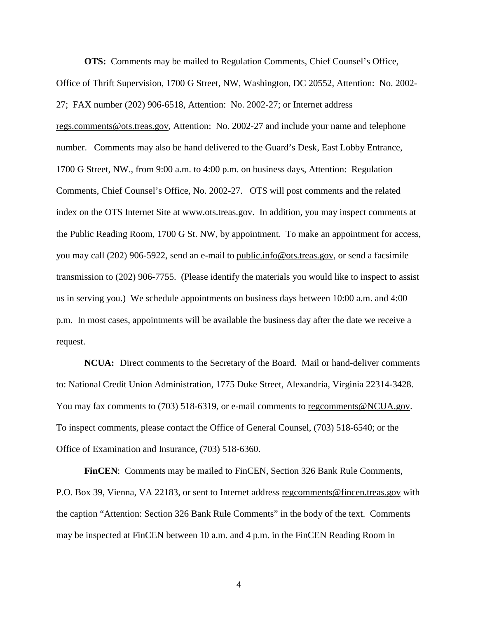**OTS:** Comments may be mailed to Regulation Comments, Chief Counsel's Office, Office of Thrift Supervision, 1700 G Street, NW, Washington, DC 20552, Attention: No. 2002- 27; FAX number (202) 906-6518, Attention: No. 2002-27; or Internet address regs.comments@ots.treas.gov, Attention: No. 2002-27 and include your name and telephone number. Comments may also be hand delivered to the Guard's Desk, East Lobby Entrance, 1700 G Street, NW., from 9:00 a.m. to 4:00 p.m. on business days, Attention: Regulation Comments, Chief Counsel's Office, No. 2002-27. OTS will post comments and the related index on the OTS Internet Site at www.ots.treas.gov. In addition, you may inspect comments at the Public Reading Room, 1700 G St. NW, by appointment. To make an appointment for access, you may call (202) 906-5922, send an e-mail to public.info@ots.treas.gov, or send a facsimile transmission to (202) 906-7755. (Please identify the materials you would like to inspect to assist us in serving you.) We schedule appointments on business days between 10:00 a.m. and 4:00 p.m. In most cases, appointments will be available the business day after the date we receive a request.

**NCUA:** Direct comments to the Secretary of the Board. Mail or hand-deliver comments to: National Credit Union Administration, 1775 Duke Street, Alexandria, Virginia 22314-3428. You may fax comments to (703) 518-6319, or e-mail comments to regcomments@NCUA.gov. To inspect comments, please contact the Office of General Counsel, (703) 518-6540; or the Office of Examination and Insurance, (703) 518-6360.

**FinCEN**: Comments may be mailed to FinCEN, Section 326 Bank Rule Comments, P.O. Box 39, Vienna, VA 22183, or sent to Internet address regcomments@fincen.treas.gov with the caption "Attention: Section 326 Bank Rule Comments" in the body of the text. Comments may be inspected at FinCEN between 10 a.m. and 4 p.m. in the FinCEN Reading Room in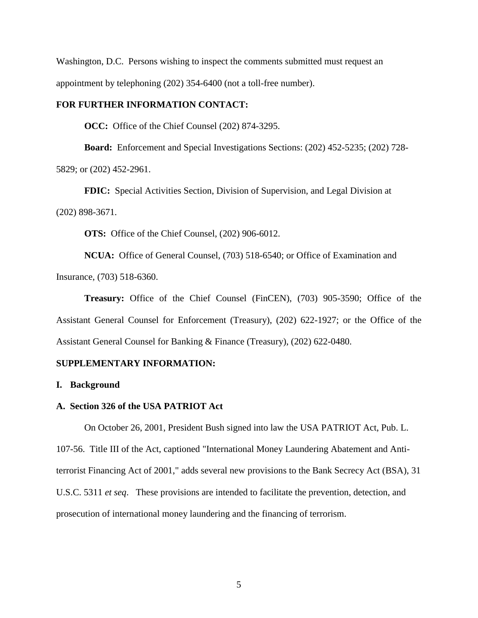Washington, D.C. Persons wishing to inspect the comments submitted must request an appointment by telephoning (202) 354-6400 (not a toll-free number).

## **FOR FURTHER INFORMATION CONTACT:**

**OCC:** Office of the Chief Counsel (202) 874-3295.

**Board:** Enforcement and Special Investigations Sections: (202) 452-5235; (202) 728- 5829; or (202) 452-2961.

**FDIC:** Special Activities Section, Division of Supervision, and Legal Division at (202) 898-3671.

**OTS:** Office of the Chief Counsel, (202) 906-6012.

**NCUA:** Office of General Counsel, (703) 518-6540; or Office of Examination and Insurance, (703) 518-6360.

**Treasury:** Office of the Chief Counsel (FinCEN), (703) 905-3590; Office of the Assistant General Counsel for Enforcement (Treasury), (202) 622-1927; or the Office of the Assistant General Counsel for Banking & Finance (Treasury), (202) 622-0480.

#### **SUPPLEMENTARY INFORMATION:**

#### **I. Background**

## **A. Section 326 of the USA PATRIOT Act**

On October 26, 2001, President Bush signed into law the USA PATRIOT Act, Pub. L. 107-56. Title III of the Act, captioned "International Money Laundering Abatement and Antiterrorist Financing Act of 2001," adds several new provisions to the Bank Secrecy Act (BSA), 31 U.S.C. 5311 *et seq*. These provisions are intended to facilitate the prevention, detection, and prosecution of international money laundering and the financing of terrorism.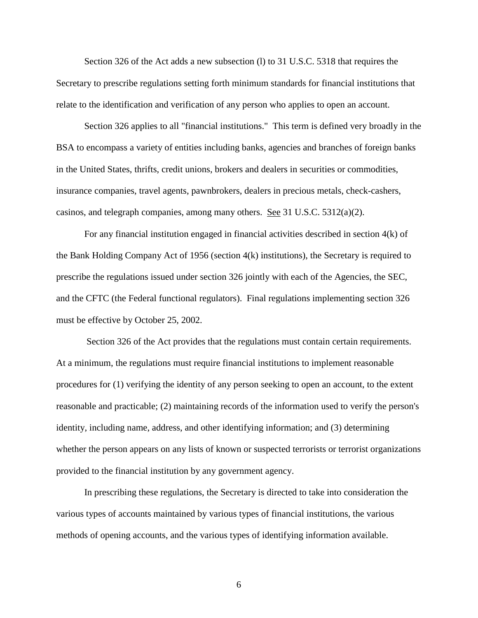Section 326 of the Act adds a new subsection (l) to 31 U.S.C. 5318 that requires the Secretary to prescribe regulations setting forth minimum standards for financial institutions that relate to the identification and verification of any person who applies to open an account.

Section 326 applies to all "financial institutions." This term is defined very broadly in the BSA to encompass a variety of entities including banks, agencies and branches of foreign banks in the United States, thrifts, credit unions, brokers and dealers in securities or commodities, insurance companies, travel agents, pawnbrokers, dealers in precious metals, check-cashers, casinos, and telegraph companies, among many others. See 31 U.S.C. 5312(a)(2).

For any financial institution engaged in financial activities described in section 4(k) of the Bank Holding Company Act of 1956 (section 4(k) institutions), the Secretary is required to prescribe the regulations issued under section 326 jointly with each of the Agencies, the SEC, and the CFTC (the Federal functional regulators). Final regulations implementing section 326 must be effective by October 25, 2002.

 Section 326 of the Act provides that the regulations must contain certain requirements. At a minimum, the regulations must require financial institutions to implement reasonable procedures for (1) verifying the identity of any person seeking to open an account, to the extent reasonable and practicable; (2) maintaining records of the information used to verify the person's identity, including name, address, and other identifying information; and (3) determining whether the person appears on any lists of known or suspected terrorists or terrorist organizations provided to the financial institution by any government agency.

In prescribing these regulations, the Secretary is directed to take into consideration the various types of accounts maintained by various types of financial institutions, the various methods of opening accounts, and the various types of identifying information available.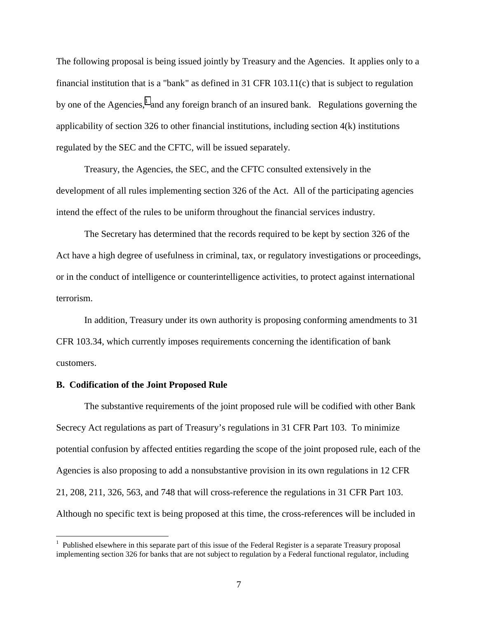The following proposal is being issued jointly by Treasury and the Agencies. It applies only to a financial institution that is a "bank" as defined in 31 CFR 103.11(c) that is subject to regulation by one of the Agencies,<sup>1</sup> and any foreign branch of an insured bank. Regulations governing the applicability of section 326 to other financial institutions, including section 4(k) institutions regulated by the SEC and the CFTC, will be issued separately.

Treasury, the Agencies, the SEC, and the CFTC consulted extensively in the development of all rules implementing section 326 of the Act. All of the participating agencies intend the effect of the rules to be uniform throughout the financial services industry.

The Secretary has determined that the records required to be kept by section 326 of the Act have a high degree of usefulness in criminal, tax, or regulatory investigations or proceedings, or in the conduct of intelligence or counterintelligence activities, to protect against international terrorism.

In addition, Treasury under its own authority is proposing conforming amendments to 31 CFR 103.34, which currently imposes requirements concerning the identification of bank customers.

#### **B. Codification of the Joint Proposed Rule**

 $\overline{a}$ 

The substantive requirements of the joint proposed rule will be codified with other Bank Secrecy Act regulations as part of Treasury's regulations in 31 CFR Part 103. To minimize potential confusion by affected entities regarding the scope of the joint proposed rule, each of the Agencies is also proposing to add a nonsubstantive provision in its own regulations in 12 CFR 21, 208, 211, 326, 563, and 748 that will cross-reference the regulations in 31 CFR Part 103. Although no specific text is being proposed at this time, the cross-references will be included in

<sup>&</sup>lt;sup>1</sup> Published elsewhere in this separate part of this issue of the Federal Register is a separate Treasury proposal implementing section 326 for banks that are not subject to regulation by a Federal functional regulator, including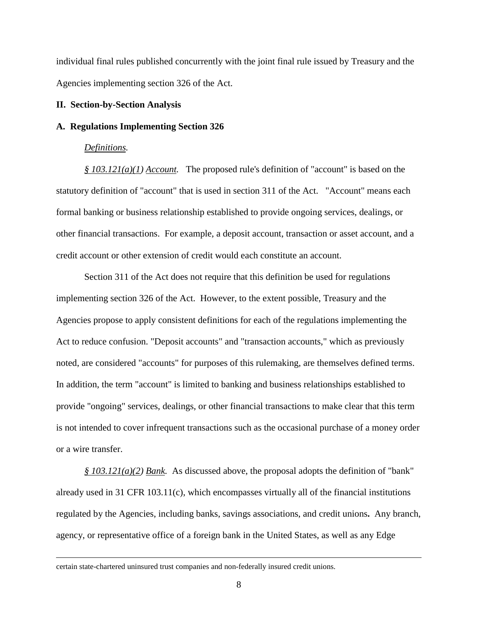individual final rules published concurrently with the joint final rule issued by Treasury and the Agencies implementing section 326 of the Act.

### **II. Section-by-Section Analysis**

#### **A. Regulations Implementing Section 326**

#### *Definitions.*

*§ 103.121(a)(1) Account.* The proposed rule's definition of "account" is based on the statutory definition of "account" that is used in section 311 of the Act. "Account" means each formal banking or business relationship established to provide ongoing services, dealings, or other financial transactions. For example, a deposit account, transaction or asset account, and a credit account or other extension of credit would each constitute an account.

 Section 311 of the Act does not require that this definition be used for regulations implementing section 326 of the Act. However, to the extent possible, Treasury and the Agencies propose to apply consistent definitions for each of the regulations implementing the Act to reduce confusion. "Deposit accounts" and "transaction accounts," which as previously noted, are considered "accounts" for purposes of this rulemaking, are themselves defined terms. In addition, the term "account" is limited to banking and business relationships established to provide "ongoing" services, dealings, or other financial transactions to make clear that this term is not intended to cover infrequent transactions such as the occasional purchase of a money order or a wire transfer.

*§ 103.121(a)(2) Bank.* As discussed above, the proposal adopts the definition of "bank" already used in  $31$  CFR 103.11(c), which encompasses virtually all of the financial institutions regulated by the Agencies, including banks, savings associations, and credit unions**.** Any branch, agency, or representative office of a foreign bank in the United States, as well as any Edge

certain state-chartered uninsured trust companies and non-federally insured credit unions.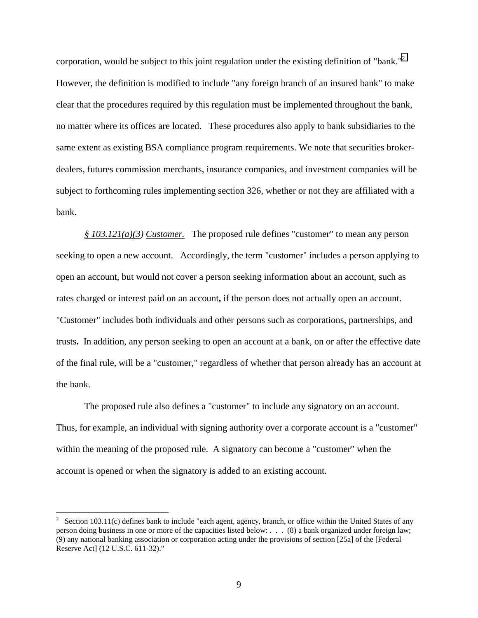corporation, would be subject to this joint regulation under the existing definition of "bank."<sup>2</sup> However, the definition is modified to include "any foreign branch of an insured bank" to make clear that the procedures required by this regulation must be implemented throughout the bank, no matter where its offices are located. These procedures also apply to bank subsidiaries to the same extent as existing BSA compliance program requirements. We note that securities brokerdealers, futures commission merchants, insurance companies, and investment companies will be subject to forthcoming rules implementing section 326, whether or not they are affiliated with a bank.

*§ 103.121(a)(3) Customer.* The proposed rule defines "customer" to mean any person seeking to open a new account. Accordingly, the term "customer" includes a person applying to open an account, but would not cover a person seeking information about an account, such as rates charged or interest paid on an account**,** if the person does not actually open an account. "Customer" includes both individuals and other persons such as corporations, partnerships, and trusts**.** In addition, any person seeking to open an account at a bank, on or after the effective date of the final rule, will be a "customer," regardless of whether that person already has an account at the bank.

The proposed rule also defines a "customer" to include any signatory on an account. Thus, for example, an individual with signing authority over a corporate account is a "customer" within the meaning of the proposed rule. A signatory can become a "customer" when the account is opened or when the signatory is added to an existing account.

 $\overline{a}$ 

<sup>2</sup> Section 103.11(c) defines bank to include "each agent, agency, branch, or office within the United States of any person doing business in one or more of the capacities listed below: . . . (8) a bank organized under foreign law; (9) any national banking association or corporation acting under the provisions of section [25a] of the [Federal Reserve Act] (12 U.S.C. 611-32)."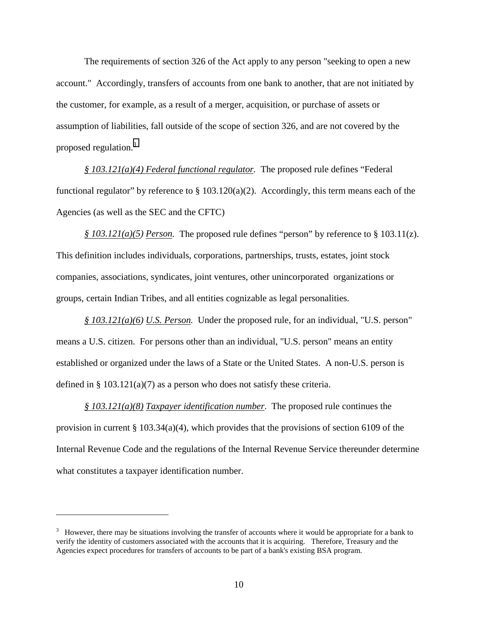The requirements of section 326 of the Act apply to any person "seeking to open a new account." Accordingly, transfers of accounts from one bank to another, that are not initiated by the customer, for example, as a result of a merger, acquisition, or purchase of assets or assumption of liabilities, fall outside of the scope of section 326, and are not covered by the proposed regulation.<sup>3</sup>

*§ 103.121(a)(4) Federal functional regulator.* The proposed rule defines "Federal functional regulator" by reference to  $\S$  103.120(a)(2). Accordingly, this term means each of the Agencies (as well as the SEC and the CFTC)

*§ 103.121(a)(5) Person.* The proposed rule defines "person" by reference to § 103.11(z). This definition includes individuals, corporations, partnerships, trusts, estates, joint stock companies, associations, syndicates, joint ventures, other unincorporated organizations or groups, certain Indian Tribes, and all entities cognizable as legal personalities.

*§ 103.121(a)(6) U.S. Person.* Under the proposed rule, for an individual, "U.S. person" means a U.S. citizen. For persons other than an individual, "U.S. person" means an entity established or organized under the laws of a State or the United States. A non-U.S. person is defined in §  $103.121(a)(7)$  as a person who does not satisfy these criteria.

*§ 103.121(a)(8) Taxpayer identification number*. The proposed rule continues the provision in current § 103.34(a)(4), which provides that the provisions of section 6109 of the Internal Revenue Code and the regulations of the Internal Revenue Service thereunder determine what constitutes a taxpayer identification number.

 $\overline{a}$ 

 $3$  However, there may be situations involving the transfer of accounts where it would be appropriate for a bank to verify the identity of customers associated with the accounts that it is acquiring. Therefore, Treasury and the Agencies expect procedures for transfers of accounts to be part of a bank's existing BSA program.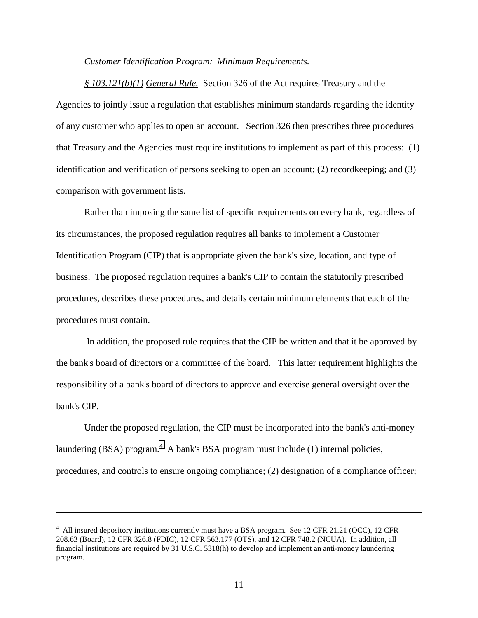#### *Customer Identification Program: Minimum Requirements.*

*§ 103.121(b)(1) General Rule.* Section 326 of the Act requires Treasury and the Agencies to jointly issue a regulation that establishes minimum standards regarding the identity of any customer who applies to open an account. Section 326 then prescribes three procedures that Treasury and the Agencies must require institutions to implement as part of this process: (1) identification and verification of persons seeking to open an account; (2) recordkeeping; and (3) comparison with government lists.

Rather than imposing the same list of specific requirements on every bank, regardless of its circumstances, the proposed regulation requires all banks to implement a Customer Identification Program (CIP) that is appropriate given the bank's size, location, and type of business. The proposed regulation requires a bank's CIP to contain the statutorily prescribed procedures, describes these procedures, and details certain minimum elements that each of the procedures must contain.

 In addition, the proposed rule requires that the CIP be written and that it be approved by the bank's board of directors or a committee of the board. This latter requirement highlights the responsibility of a bank's board of directors to approve and exercise general oversight over the bank's CIP.

Under the proposed regulation, the CIP must be incorporated into the bank's anti-money laundering (BSA) program. $4$  A bank's BSA program must include (1) internal policies, procedures, and controls to ensure ongoing compliance; (2) designation of a compliance officer;

<sup>&</sup>lt;sup>4</sup> All insured depository institutions currently must have a BSA program. See 12 CFR 21.21 (OCC), 12 CFR 208.63 (Board), 12 CFR 326.8 (FDIC), 12 CFR 563.177 (OTS), and 12 CFR 748.2 (NCUA). In addition, all financial institutions are required by 31 U.S.C. 5318(h) to develop and implement an anti-money laundering program.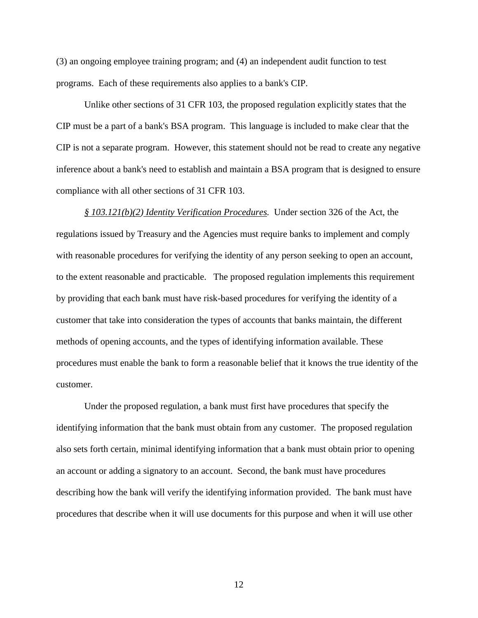(3) an ongoing employee training program; and (4) an independent audit function to test programs. Each of these requirements also applies to a bank's CIP.

Unlike other sections of 31 CFR 103, the proposed regulation explicitly states that the CIP must be a part of a bank's BSA program. This language is included to make clear that the CIP is not a separate program. However, this statement should not be read to create any negative inference about a bank's need to establish and maintain a BSA program that is designed to ensure compliance with all other sections of 31 CFR 103.

*§ 103.121(b)(2) Identity Verification Procedures.* Under section 326 of the Act, the regulations issued by Treasury and the Agencies must require banks to implement and comply with reasonable procedures for verifying the identity of any person seeking to open an account, to the extent reasonable and practicable.The proposed regulation implements this requirement by providing that each bank must have risk-based procedures for verifying the identity of a customer that take into consideration the types of accounts that banks maintain, the different methods of opening accounts, and the types of identifying information available. These procedures must enable the bank to form a reasonable belief that it knows the true identity of the customer.

Under the proposed regulation, a bank must first have procedures that specify the identifying information that the bank must obtain from any customer.The proposed regulation also sets forth certain, minimal identifying information that a bank must obtain prior to opening an account or adding a signatory to an account. Second, the bank must have procedures describing how the bank will verify the identifying information provided. The bank must have procedures that describe when it will use documents for this purpose and when it will use other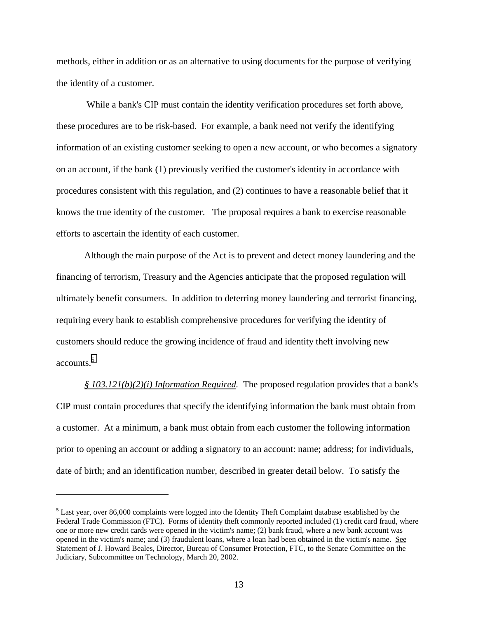methods, either in addition or as an alternative to using documents for the purpose of verifying the identity of a customer.

 While a bank's CIP must contain the identity verification procedures set forth above, these procedures are to be risk-based. For example, a bank need not verify the identifying information of an existing customer seeking to open a new account, or who becomes a signatory on an account, if the bank (1) previously verified the customer's identity in accordance with procedures consistent with this regulation, and (2) continues to have a reasonable belief that it knows the true identity of the customer. The proposal requires a bank to exercise reasonable efforts to ascertain the identity of each customer.

Although the main purpose of the Act is to prevent and detect money laundering and the financing of terrorism, Treasury and the Agencies anticipate that the proposed regulation will ultimately benefit consumers. In addition to deterring money laundering and terrorist financing, requiring every bank to establish comprehensive procedures for verifying the identity of customers should reduce the growing incidence of fraud and identity theft involving new accounts.<sup>5</sup>

*§ 103.121(b)(2)(i) Information Required.* The proposed regulation provides that a bank's CIP must contain procedures that specify the identifying information the bank must obtain from a customer. At a minimum, a bank must obtain from each customer the following information prior to opening an account or adding a signatory to an account: name; address; for individuals, date of birth; and an identification number, described in greater detail below. To satisfy the

 $\overline{a}$ 

**<sup>5</sup>** Last year, over 86,000 complaints were logged into the Identity Theft Complaint database established by the Federal Trade Commission (FTC). Forms of identity theft commonly reported included (1) credit card fraud, where one or more new credit cards were opened in the victim's name; (2) bank fraud, where a new bank account was opened in the victim's name; and (3) fraudulent loans, where a loan had been obtained in the victim's name. See Statement of J. Howard Beales, Director, Bureau of Consumer Protection, FTC, to the Senate Committee on the Judiciary, Subcommittee on Technology, March 20, 2002.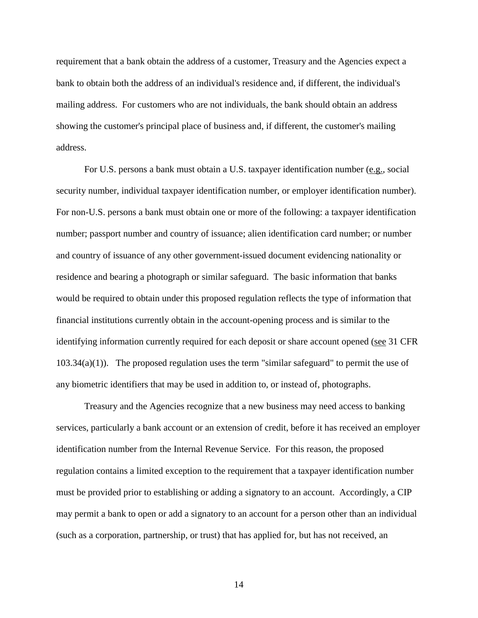requirement that a bank obtain the address of a customer, Treasury and the Agencies expect a bank to obtain both the address of an individual's residence and, if different, the individual's mailing address. For customers who are not individuals, the bank should obtain an address showing the customer's principal place of business and, if different, the customer's mailing address.

For U.S. persons a bank must obtain a U.S. taxpayer identification number (e.g., social security number, individual taxpayer identification number, or employer identification number). For non-U.S. persons a bank must obtain one or more of the following: a taxpayer identification number; passport number and country of issuance; alien identification card number; or number and country of issuance of any other government-issued document evidencing nationality or residence and bearing a photograph or similar safeguard. The basic information that banks would be required to obtain under this proposed regulation reflects the type of information that financial institutions currently obtain in the account-opening process and is similar to the identifying information currently required for each deposit or share account opened (see 31 CFR  $103.34(a)(1)$ . The proposed regulation uses the term "similar safeguard" to permit the use of any biometric identifiers that may be used in addition to, or instead of, photographs.

Treasury and the Agencies recognize that a new business may need access to banking services, particularly a bank account or an extension of credit, before it has received an employer identification number from the Internal Revenue Service. For this reason, the proposed regulation contains a limited exception to the requirement that a taxpayer identification number must be provided prior to establishing or adding a signatory to an account. Accordingly, a CIP may permit a bank to open or add a signatory to an account for a person other than an individual (such as a corporation, partnership, or trust) that has applied for, but has not received, an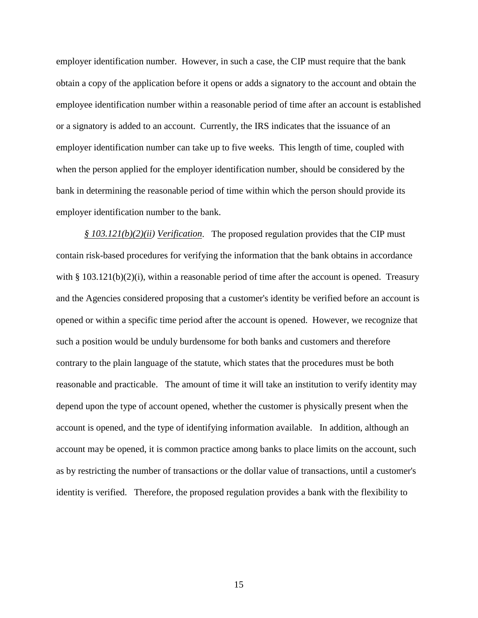employer identification number. However, in such a case, the CIP must require that the bank obtain a copy of the application before it opens or adds a signatory to the account and obtain the employee identification number within a reasonable period of time after an account is established or a signatory is added to an account. Currently, the IRS indicates that the issuance of an employer identification number can take up to five weeks. This length of time, coupled with when the person applied for the employer identification number, should be considered by the bank in determining the reasonable period of time within which the person should provide its employer identification number to the bank.

*§ 103.121(b)(2)(ii) Verification*. The proposed regulation provides that the CIP must contain risk-based procedures for verifying the information that the bank obtains in accordance with § 103.121(b)(2)(i), within a reasonable period of time after the account is opened. Treasury and the Agencies considered proposing that a customer's identity be verified before an account is opened or within a specific time period after the account is opened. However, we recognize that such a position would be unduly burdensome for both banks and customers and therefore contrary to the plain language of the statute, which states that the procedures must be both reasonable and practicable. The amount of time it will take an institution to verify identity may depend upon the type of account opened, whether the customer is physically present when the account is opened, and the type of identifying information available. In addition, although an account may be opened, it is common practice among banks to place limits on the account, such as by restricting the number of transactions or the dollar value of transactions, until a customer's identity is verified. Therefore, the proposed regulation provides a bank with the flexibility to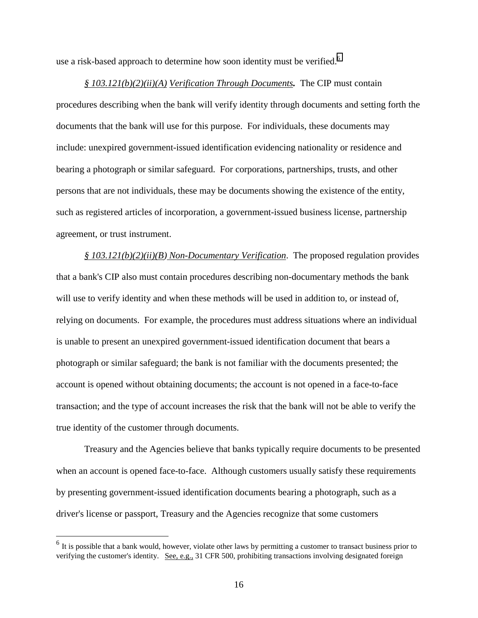use a risk-based approach to determine how soon identity must be verified.<sup>6</sup>

*§ 103.121(b)(2)(ii)(A) Verification Through Documents.* The CIP must contain procedures describing when the bank will verify identity through documents and setting forth the documents that the bank will use for this purpose. For individuals, these documents may include: unexpired government-issued identification evidencing nationality or residence and bearing a photograph or similar safeguard. For corporations, partnerships, trusts, and other persons that are not individuals, these may be documents showing the existence of the entity, such as registered articles of incorporation, a government-issued business license, partnership agreement, or trust instrument.

*§ 103.121(b)(2)(ii)(B) Non-Documentary Verification*. The proposed regulation provides that a bank's CIP also must contain procedures describing non-documentary methods the bank will use to verify identity and when these methods will be used in addition to, or instead of, relying on documents. For example, the procedures must address situations where an individual is unable to present an unexpired government-issued identification document that bears a photograph or similar safeguard; the bank is not familiar with the documents presented; the account is opened without obtaining documents; the account is not opened in a face-to-face transaction; and the type of account increases the risk that the bank will not be able to verify the true identity of the customer through documents.

Treasury and the Agencies believe that banks typically require documents to be presented when an account is opened face-to-face. Although customers usually satisfy these requirements by presenting government-issued identification documents bearing a photograph, such as a driver's license or passport, Treasury and the Agencies recognize that some customers

 $\overline{a}$ 

<sup>&</sup>lt;sup>6</sup> It is possible that a bank would, however, violate other laws by permitting a customer to transact business prior to verifying the customer's identity. See, e.g., 31 CFR 500, prohibiting transactions involving designated foreign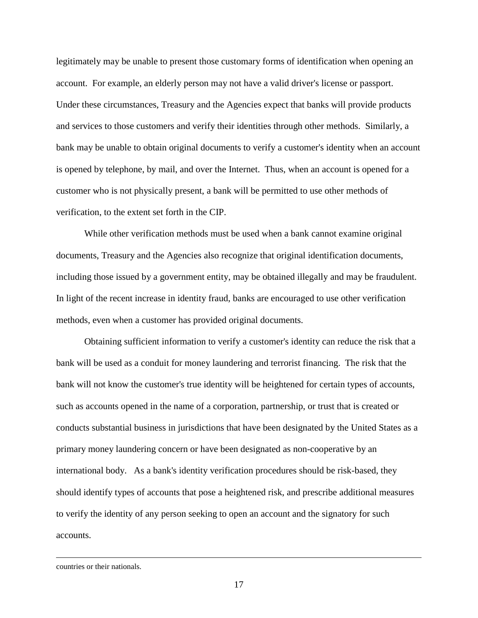legitimately may be unable to present those customary forms of identification when opening an account. For example, an elderly person may not have a valid driver's license or passport. Under these circumstances, Treasury and the Agencies expect that banks will provide products and services to those customers and verify their identities through other methods. Similarly, a bank may be unable to obtain original documents to verify a customer's identity when an account is opened by telephone, by mail, and over the Internet. Thus, when an account is opened for a customer who is not physically present, a bank will be permitted to use other methods of verification, to the extent set forth in the CIP.

While other verification methods must be used when a bank cannot examine original documents, Treasury and the Agencies also recognize that original identification documents, including those issued by a government entity, may be obtained illegally and may be fraudulent. In light of the recent increase in identity fraud, banks are encouraged to use other verification methods, even when a customer has provided original documents.

Obtaining sufficient information to verify a customer's identity can reduce the risk that a bank will be used as a conduit for money laundering and terrorist financing.The risk that the bank will not know the customer's true identity will be heightened for certain types of accounts, such as accounts opened in the name of a corporation, partnership, or trust that is created or conducts substantial business in jurisdictions that have been designated by the United States as a primary money laundering concern or have been designated as non-cooperative by an international body. As a bank's identity verification procedures should be risk-based, they should identify types of accounts that pose a heightened risk, and prescribe additional measures to verify the identity of any person seeking to open an account and the signatory for such accounts.

countries or their nationals.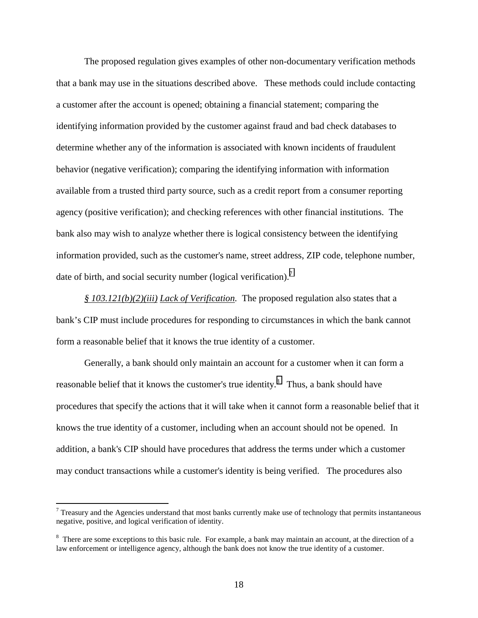The proposed regulation gives examples of other non-documentary verification methods that a bank may use in the situations described above. These methods could include contacting a customer after the account is opened; obtaining a financial statement; comparing the identifying information provided by the customer against fraud and bad check databases to determine whether any of the information is associated with known incidents of fraudulent behavior (negative verification); comparing the identifying information with information available from a trusted third party source, such as a credit report from a consumer reporting agency (positive verification); and checking references with other financial institutions. The bank also may wish to analyze whether there is logical consistency between the identifying information provided, such as the customer's name, street address, ZIP code, telephone number, date of birth, and social security number (logical verification).<sup>7</sup>

*§ 103.121(b)(2)(iii) Lack of Verification.* The proposed regulation also states that a bank's CIP must include procedures for responding to circumstances in which the bank cannot form a reasonable belief that it knows the true identity of a customer.

Generally, a bank should only maintain an account for a customer when it can form a reasonable belief that it knows the customer's true identity.<sup>8</sup> Thus, a bank should have procedures that specify the actions that it will take when it cannot form a reasonable belief that it knows the true identity of a customer, including when an account should not be opened. In addition, a bank's CIP should have procedures that address the terms under which a customer may conduct transactions while a customer's identity is being verified. The procedures also

 $\overline{a}$ 

 $<sup>7</sup>$  Treasury and the Agencies understand that most banks currently make use of technology that permits instantaneous</sup> negative, positive, and logical verification of identity.

<sup>&</sup>lt;sup>8</sup> There are some exceptions to this basic rule. For example, a bank may maintain an account, at the direction of a law enforcement or intelligence agency, although the bank does not know the true identity of a customer.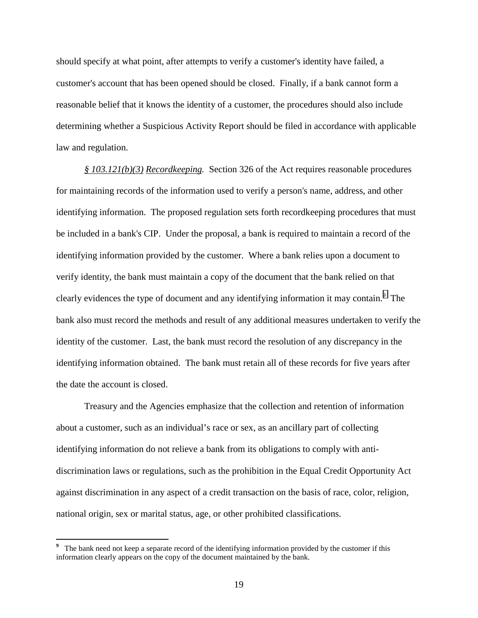should specify at what point, after attempts to verify a customer's identity have failed, a customer's account that has been opened should be closed. Finally, if a bank cannot form a reasonable belief that it knows the identity of a customer, the procedures should also include determining whether a Suspicious Activity Report should be filed in accordance with applicable law and regulation.

*§ 103.121(b)(3) Recordkeeping.* Section 326 of the Act requires reasonable procedures for maintaining records of the information used to verify a person's name, address, and other identifying information. The proposed regulation sets forth recordkeeping procedures that must be included in a bank's CIP. Under the proposal, a bank is required to maintain a record of the identifying information provided by the customer. Where a bank relies upon a document to verify identity, the bank must maintain a copy of the document that the bank relied on that clearly evidences the type of document and any identifying information it may contain.<sup>9</sup> The bank also must record the methods and result of any additional measures undertaken to verify the identity of the customer. Last, the bank must record the resolution of any discrepancy in the identifying information obtained. The bank must retain all of these records for five years after the date the account is closed.

Treasury and the Agencies emphasize that the collection and retention of information about a customer, such as an individual's race or sex, as an ancillary part of collecting identifying information do not relieve a bank from its obligations to comply with antidiscrimination laws or regulations, such as the prohibition in the Equal Credit Opportunity Act against discrimination in any aspect of a credit transaction on the basis of race, color, religion, national origin, sex or marital status, age, or other prohibited classifications.

<sup>&</sup>lt;sup>9</sup> The bank need not keep a separate record of the identifying information provided by the customer if this information clearly appears on the copy of the document maintained by the bank.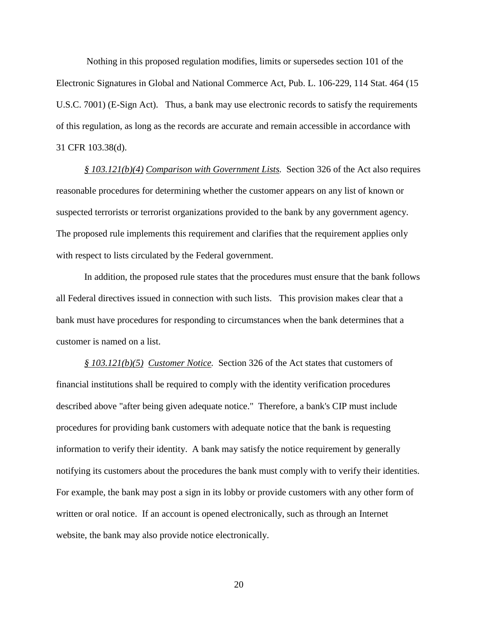Nothing in this proposed regulation modifies, limits or supersedes section 101 of the Electronic Signatures in Global and National Commerce Act, Pub. L. 106-229, 114 Stat. 464 (15 U.S.C. 7001) (E-Sign Act). Thus, a bank may use electronic records to satisfy the requirements of this regulation, as long as the records are accurate and remain accessible in accordance with 31 CFR 103.38(d).

*§ 103.121(b)(4) Comparison with Government Lists.* Section 326 of the Act also requires reasonable procedures for determining whether the customer appears on any list of known or suspected terrorists or terrorist organizations provided to the bank by any government agency. The proposed rule implements this requirement and clarifies that the requirement applies only with respect to lists circulated by the Federal government.

In addition, the proposed rule states that the procedures must ensure that the bank follows all Federal directives issued in connection with such lists. This provision makes clear that a bank must have procedures for responding to circumstances when the bank determines that a customer is named on a list.

*§ 103.121(b)(5) Customer Notice.* Section 326 of the Act states that customers of financial institutions shall be required to comply with the identity verification procedures described above "after being given adequate notice." Therefore, a bank's CIP must include procedures for providing bank customers with adequate notice that the bank is requesting information to verify their identity. A bank may satisfy the notice requirement by generally notifying its customers about the procedures the bank must comply with to verify their identities. For example, the bank may post a sign in its lobby or provide customers with any other form of written or oral notice. If an account is opened electronically, such as through an Internet website, the bank may also provide notice electronically.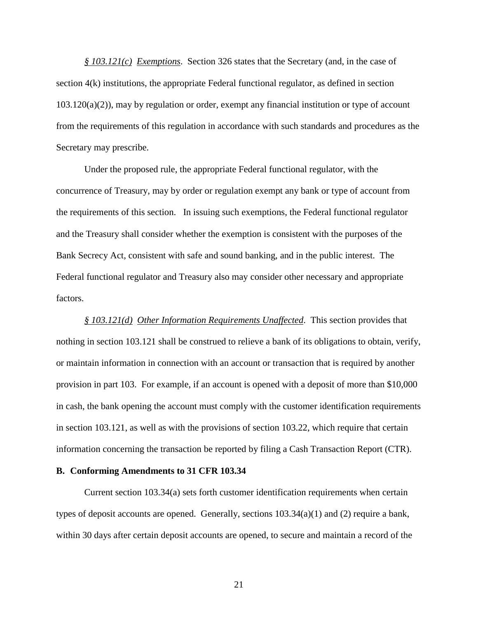*§ 103.121(c) Exemptions*. Section 326 states that the Secretary (and, in the case of section 4(k) institutions, the appropriate Federal functional regulator, as defined in section  $103.120(a)(2)$ , may by regulation or order, exempt any financial institution or type of account from the requirements of this regulation in accordance with such standards and procedures as the Secretary may prescribe.

Under the proposed rule, the appropriate Federal functional regulator, with the concurrence of Treasury, may by order or regulation exempt any bank or type of account from the requirements of this section. In issuing such exemptions, the Federal functional regulator and the Treasury shall consider whether the exemption is consistent with the purposes of the Bank Secrecy Act, consistent with safe and sound banking, and in the public interest. The Federal functional regulator and Treasury also may consider other necessary and appropriate factors.

*§ 103.121(d) Other Information Requirements Unaffected*. This section provides that nothing in section 103.121 shall be construed to relieve a bank of its obligations to obtain, verify, or maintain information in connection with an account or transaction that is required by another provision in part 103. For example, if an account is opened with a deposit of more than \$10,000 in cash, the bank opening the account must comply with the customer identification requirements in section 103.121, as well as with the provisions of section 103.22, which require that certain information concerning the transaction be reported by filing a Cash Transaction Report (CTR).

#### **B. Conforming Amendments to 31 CFR 103.34**

Current section 103.34(a) sets forth customer identification requirements when certain types of deposit accounts are opened. Generally, sections 103.34(a)(1) and (2) require a bank, within 30 days after certain deposit accounts are opened, to secure and maintain a record of the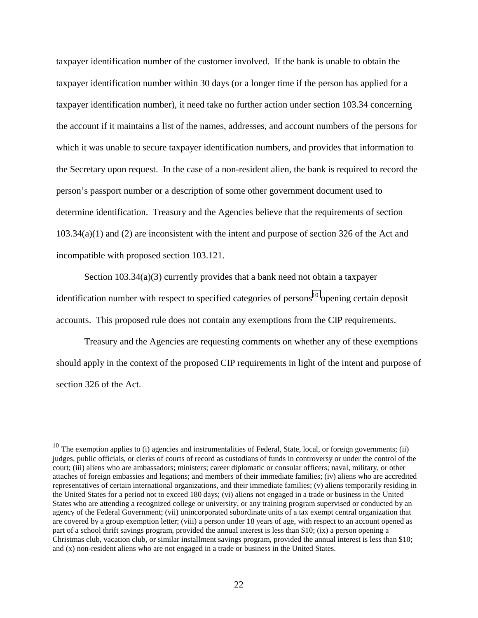taxpayer identification number of the customer involved. If the bank is unable to obtain the taxpayer identification number within 30 days (or a longer time if the person has applied for a taxpayer identification number), it need take no further action under section 103.34 concerning the account if it maintains a list of the names, addresses, and account numbers of the persons for which it was unable to secure taxpayer identification numbers, and provides that information to the Secretary upon request. In the case of a non-resident alien, the bank is required to record the person's passport number or a description of some other government document used to determine identification. Treasury and the Agencies believe that the requirements of section 103.34(a)(1) and (2) are inconsistent with the intent and purpose of section 326 of the Act and incompatible with proposed section 103.121.

Section 103.34(a)(3) currently provides that a bank need not obtain a taxpayer identification number with respect to specified categories of persons<sup>10</sup> opening certain deposit accounts. This proposed rule does not contain any exemptions from the CIP requirements.

Treasury and the Agencies are requesting comments on whether any of these exemptions should apply in the context of the proposed CIP requirements in light of the intent and purpose of section 326 of the Act.

 $\overline{a}$ 

 $10$  The exemption applies to (i) agencies and instrumentalities of Federal, State, local, or foreign governments; (ii) judges, public officials, or clerks of courts of record as custodians of funds in controversy or under the control of the court; (iii) aliens who are ambassadors; ministers; career diplomatic or consular officers; naval, military, or other attaches of foreign embassies and legations; and members of their immediate families; (iv) aliens who are accredited representatives of certain international organizations, and their immediate families; (v) aliens temporarily residing in the United States for a period not to exceed 180 days; (vi) aliens not engaged in a trade or business in the United States who are attending a recognized college or university, or any training program supervised or conducted by an agency of the Federal Government; (vii) unincorporated subordinate units of a tax exempt central organization that are covered by a group exemption letter; (viii) a person under 18 years of age, with respect to an account opened as part of a school thrift savings program, provided the annual interest is less than \$10; (ix) a person opening a Christmas club, vacation club, or similar installment savings program, provided the annual interest is less than \$10; and (x) non-resident aliens who are not engaged in a trade or business in the United States.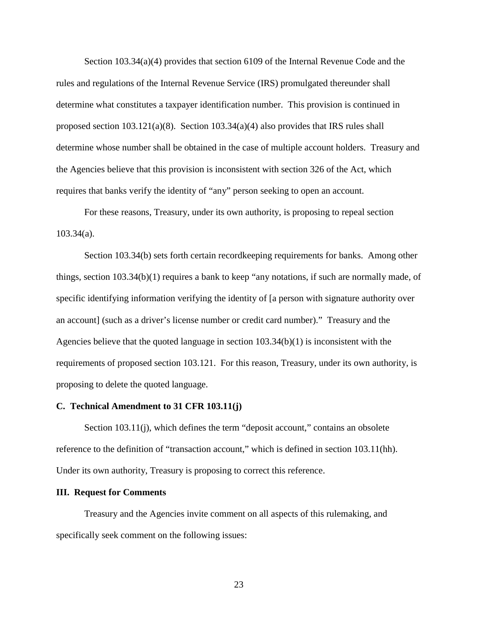Section 103.34(a)(4) provides that section 6109 of the Internal Revenue Code and the rules and regulations of the Internal Revenue Service (IRS) promulgated thereunder shall determine what constitutes a taxpayer identification number. This provision is continued in proposed section  $103.121(a)(8)$ . Section  $103.34(a)(4)$  also provides that IRS rules shall determine whose number shall be obtained in the case of multiple account holders. Treasury and the Agencies believe that this provision is inconsistent with section 326 of the Act, which requires that banks verify the identity of "any" person seeking to open an account.

For these reasons, Treasury, under its own authority, is proposing to repeal section 103.34(a).

Section 103.34(b) sets forth certain recordkeeping requirements for banks. Among other things, section 103.34(b)(1) requires a bank to keep "any notations, if such are normally made, of specific identifying information verifying the identity of [a person with signature authority over an account] (such as a driver's license number or credit card number)." Treasury and the Agencies believe that the quoted language in section  $103.34(b)(1)$  is inconsistent with the requirements of proposed section 103.121. For this reason, Treasury, under its own authority, is proposing to delete the quoted language.

#### **C. Technical Amendment to 31 CFR 103.11(j)**

Section 103.11(j), which defines the term "deposit account," contains an obsolete reference to the definition of "transaction account," which is defined in section 103.11(hh). Under its own authority, Treasury is proposing to correct this reference.

#### **III. Request for Comments**

Treasury and the Agencies invite comment on all aspects of this rulemaking, and specifically seek comment on the following issues: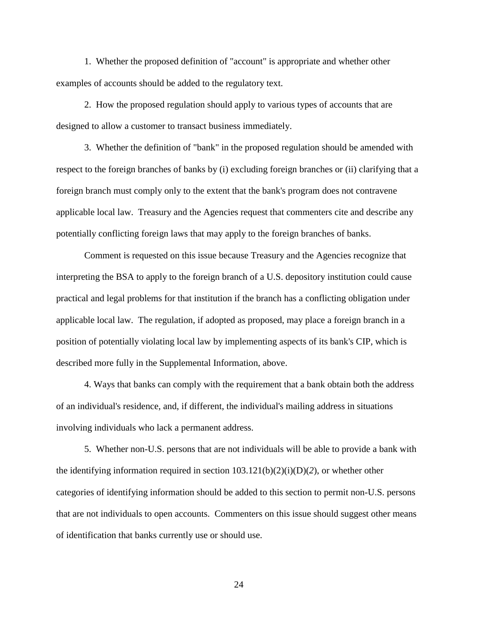1. Whether the proposed definition of "account" is appropriate and whether other examples of accounts should be added to the regulatory text.

2. How the proposed regulation should apply to various types of accounts that are designed to allow a customer to transact business immediately.

3. Whether the definition of "bank" in the proposed regulation should be amended with respect to the foreign branches of banks by (i) excluding foreign branches or (ii) clarifying that a foreign branch must comply only to the extent that the bank's program does not contravene applicable local law. Treasury and the Agencies request that commenters cite and describe any potentially conflicting foreign laws that may apply to the foreign branches of banks.

Comment is requested on this issue because Treasury and the Agencies recognize that interpreting the BSA to apply to the foreign branch of a U.S. depository institution could cause practical and legal problems for that institution if the branch has a conflicting obligation under applicable local law. The regulation, if adopted as proposed, may place a foreign branch in a position of potentially violating local law by implementing aspects of its bank's CIP, which is described more fully in the Supplemental Information, above.

4. Ways that banks can comply with the requirement that a bank obtain both the address of an individual's residence, and, if different, the individual's mailing address in situations involving individuals who lack a permanent address.

5. Whether non-U.S. persons that are not individuals will be able to provide a bank with the identifying information required in section 103.121(b)(2)(i)(D)(*2*), or whether other categories of identifying information should be added to this section to permit non-U.S. persons that are not individuals to open accounts. Commenters on this issue should suggest other means of identification that banks currently use or should use.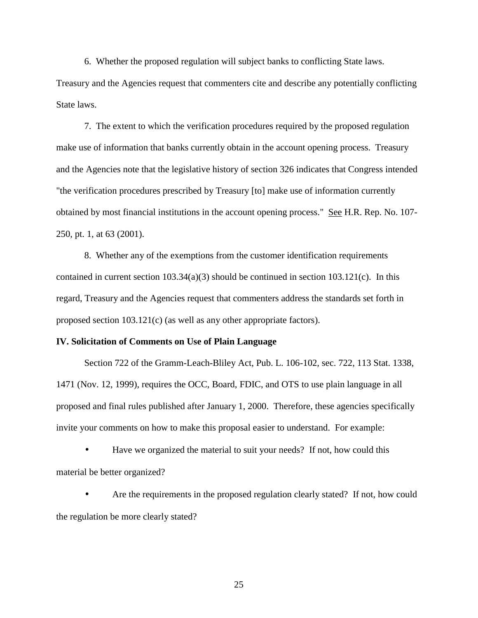6. Whether the proposed regulation will subject banks to conflicting State laws.

Treasury and the Agencies request that commenters cite and describe any potentially conflicting State laws.

7. The extent to which the verification procedures required by the proposed regulation make use of information that banks currently obtain in the account opening process. Treasury and the Agencies note that the legislative history of section 326 indicates that Congress intended "the verification procedures prescribed by Treasury [to] make use of information currently obtained by most financial institutions in the account opening process." See H.R. Rep. No. 107- 250, pt. 1, at 63 (2001).

8. Whether any of the exemptions from the customer identification requirements contained in current section 103.34(a)(3) should be continued in section 103.121(c). In this regard, Treasury and the Agencies request that commenters address the standards set forth in proposed section 103.121(c) (as well as any other appropriate factors).

#### **IV. Solicitation of Comments on Use of Plain Language**

Section 722 of the Gramm-Leach-Bliley Act, Pub. L. 106-102, sec. 722, 113 Stat. 1338, 1471 (Nov. 12, 1999), requires the OCC, Board, FDIC, and OTS to use plain language in all proposed and final rules published after January 1, 2000. Therefore, these agencies specifically invite your comments on how to make this proposal easier to understand. For example:

• Have we organized the material to suit your needs? If not, how could this material be better organized?

• Are the requirements in the proposed regulation clearly stated? If not, how could the regulation be more clearly stated?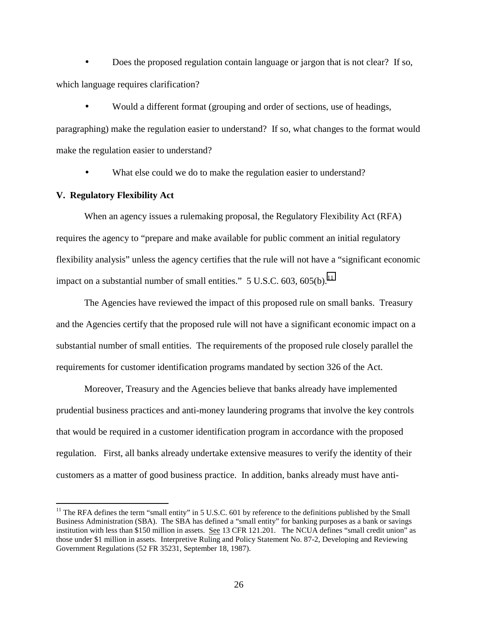• Does the proposed regulation contain language or jargon that is not clear? If so, which language requires clarification?

• Would a different format (grouping and order of sections, use of headings,

paragraphing) make the regulation easier to understand? If so, what changes to the format would make the regulation easier to understand?

• What else could we do to make the regulation easier to understand?

## **V. Regulatory Flexibility Act**

 $\overline{a}$ 

When an agency issues a rulemaking proposal, the Regulatory Flexibility Act (RFA) requires the agency to "prepare and make available for public comment an initial regulatory flexibility analysis" unless the agency certifies that the rule will not have a "significant economic impact on a substantial number of small entities."  $5 \text{ U.S.C. } 603, 605(b).$ <sup>11</sup>

The Agencies have reviewed the impact of this proposed rule on small banks. Treasury and the Agencies certify that the proposed rule will not have a significant economic impact on a substantial number of small entities. The requirements of the proposed rule closely parallel the requirements for customer identification programs mandated by section 326 of the Act.

Moreover, Treasury and the Agencies believe that banks already have implemented prudential business practices and anti-money laundering programs that involve the key controls that would be required in a customer identification program in accordance with the proposed regulation. First, all banks already undertake extensive measures to verify the identity of their customers as a matter of good business practice. In addition, banks already must have anti-

 $11$  The RFA defines the term "small entity" in 5 U.S.C. 601 by reference to the definitions published by the Small Business Administration (SBA). The SBA has defined a "small entity" for banking purposes as a bank or savings institution with less than \$150 million in assets. See 13 CFR 121.201. The NCUA defines "small credit union" as those under \$1 million in assets. Interpretive Ruling and Policy Statement No. 87-2, Developing and Reviewing Government Regulations (52 FR 35231, September 18, 1987).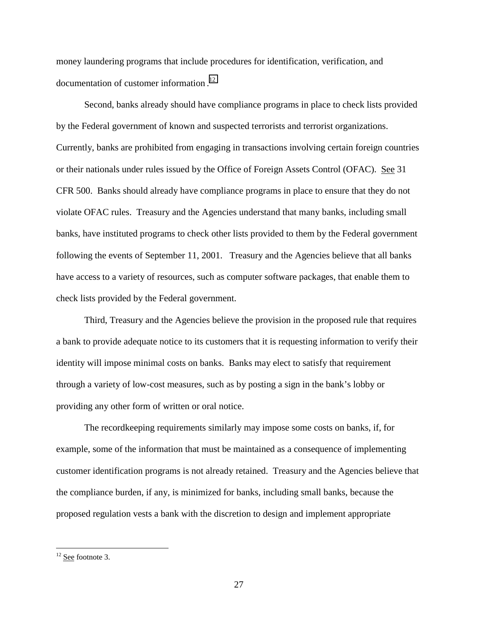money laundering programs that include procedures for identification, verification, and documentation of customer information.<sup>12</sup>

Second, banks already should have compliance programs in place to check lists provided by the Federal government of known and suspected terrorists and terrorist organizations. Currently, banks are prohibited from engaging in transactions involving certain foreign countries or their nationals under rules issued by the Office of Foreign Assets Control (OFAC). See 31 CFR 500. Banks should already have compliance programs in place to ensure that they do not violate OFAC rules. Treasury and the Agencies understand that many banks, including small banks, have instituted programs to check other lists provided to them by the Federal government following the events of September 11, 2001. Treasury and the Agencies believe that all banks have access to a variety of resources, such as computer software packages, that enable them to check lists provided by the Federal government.

Third, Treasury and the Agencies believe the provision in the proposed rule that requires a bank to provide adequate notice to its customers that it is requesting information to verify their identity will impose minimal costs on banks. Banks may elect to satisfy that requirement through a variety of low-cost measures, such as by posting a sign in the bank's lobby or providing any other form of written or oral notice.

The recordkeeping requirements similarly may impose some costs on banks, if, for example, some of the information that must be maintained as a consequence of implementing customer identification programs is not already retained. Treasury and the Agencies believe that the compliance burden, if any, is minimized for banks, including small banks, because the proposed regulation vests a bank with the discretion to design and implement appropriate

 $\overline{a}$ 

 $12$  See footnote 3.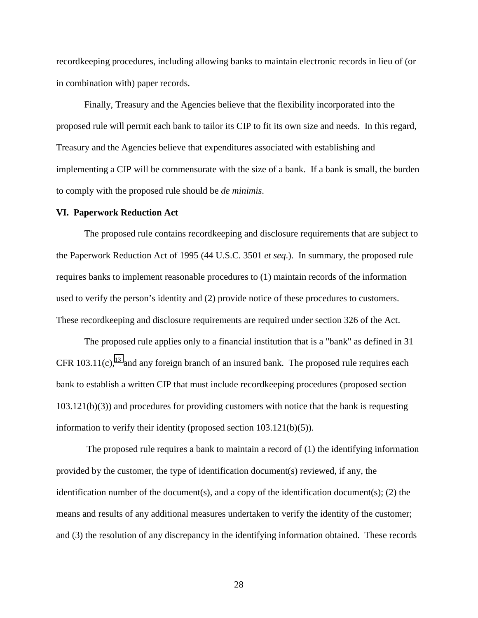recordkeeping procedures, including allowing banks to maintain electronic records in lieu of (or in combination with) paper records.

Finally, Treasury and the Agencies believe that the flexibility incorporated into the proposed rule will permit each bank to tailor its CIP to fit its own size and needs. In this regard, Treasury and the Agencies believe that expenditures associated with establishing and implementing a CIP will be commensurate with the size of a bank. If a bank is small, the burden to comply with the proposed rule should be *de minimis*.

#### **VI. Paperwork Reduction Act**

The proposed rule contains recordkeeping and disclosure requirements that are subject to the Paperwork Reduction Act of 1995 (44 U.S.C. 3501 *et seq*.). In summary, the proposed rule requires banks to implement reasonable procedures to (1) maintain records of the information used to verify the person's identity and (2) provide notice of these procedures to customers. These recordkeeping and disclosure requirements are required under section 326 of the Act.

The proposed rule applies only to a financial institution that is a "bank" as defined in 31 CFR 103.11(c),<sup>13</sup> and any foreign branch of an insured bank. The proposed rule requires each bank to establish a written CIP that must include recordkeeping procedures (proposed section  $103.121(b)(3)$ ) and procedures for providing customers with notice that the bank is requesting information to verify their identity (proposed section 103.121(b)(5)).

 The proposed rule requires a bank to maintain a record of (1) the identifying information provided by the customer, the type of identification document(s) reviewed, if any, the identification number of the document(s), and a copy of the identification document(s); (2) the means and results of any additional measures undertaken to verify the identity of the customer; and (3) the resolution of any discrepancy in the identifying information obtained. These records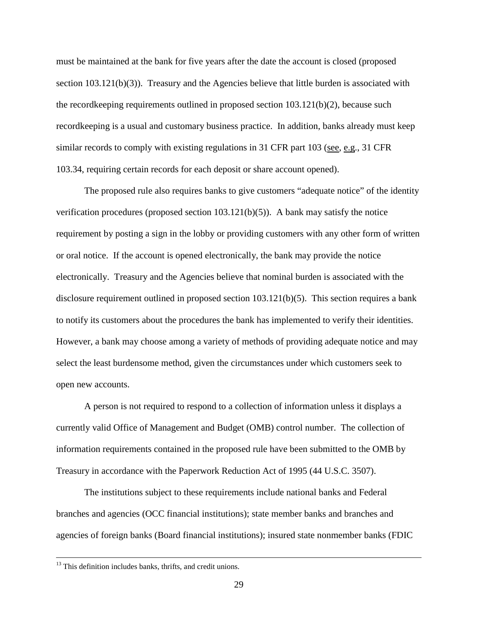must be maintained at the bank for five years after the date the account is closed (proposed section 103.121(b)(3)). Treasury and the Agencies believe that little burden is associated with the record keeping requirements outlined in proposed section  $103.121(b)(2)$ , because such recordkeeping is a usual and customary business practice. In addition, banks already must keep similar records to comply with existing regulations in 31 CFR part 103 (see, e.g., 31 CFR 103.34, requiring certain records for each deposit or share account opened).

The proposed rule also requires banks to give customers "adequate notice" of the identity verification procedures (proposed section  $103.121(b)(5)$ ). A bank may satisfy the notice requirement by posting a sign in the lobby or providing customers with any other form of written or oral notice. If the account is opened electronically, the bank may provide the notice electronically. Treasury and the Agencies believe that nominal burden is associated with the disclosure requirement outlined in proposed section 103.121(b)(5). This section requires a bank to notify its customers about the procedures the bank has implemented to verify their identities. However, a bank may choose among a variety of methods of providing adequate notice and may select the least burdensome method, given the circumstances under which customers seek to open new accounts.

A person is not required to respond to a collection of information unless it displays a currently valid Office of Management and Budget (OMB) control number. The collection of information requirements contained in the proposed rule have been submitted to the OMB by Treasury in accordance with the Paperwork Reduction Act of 1995 (44 U.S.C. 3507).

The institutions subject to these requirements include national banks and Federal branches and agencies (OCC financial institutions); state member banks and branches and agencies of foreign banks (Board financial institutions); insured state nonmember banks (FDIC

<sup>&</sup>lt;sup>13</sup> This definition includes banks, thrifts, and credit unions.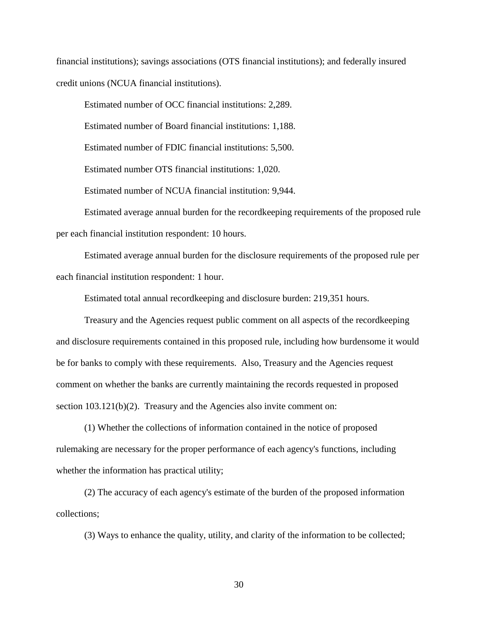financial institutions); savings associations (OTS financial institutions); and federally insured credit unions (NCUA financial institutions).

Estimated number of OCC financial institutions: 2,289.

Estimated number of Board financial institutions: 1,188.

Estimated number of FDIC financial institutions: 5,500.

Estimated number OTS financial institutions: 1,020.

Estimated number of NCUA financial institution: 9,944.

Estimated average annual burden for the recordkeeping requirements of the proposed rule per each financial institution respondent: 10 hours.

Estimated average annual burden for the disclosure requirements of the proposed rule per each financial institution respondent: 1 hour.

Estimated total annual recordkeeping and disclosure burden: 219,351 hours.

Treasury and the Agencies request public comment on all aspects of the recordkeeping and disclosure requirements contained in this proposed rule, including how burdensome it would be for banks to comply with these requirements. Also, Treasury and the Agencies request comment on whether the banks are currently maintaining the records requested in proposed section 103.121(b)(2). Treasury and the Agencies also invite comment on:

(1) Whether the collections of information contained in the notice of proposed rulemaking are necessary for the proper performance of each agency's functions, including whether the information has practical utility;

(2) The accuracy of each agency's estimate of the burden of the proposed information collections;

(3) Ways to enhance the quality, utility, and clarity of the information to be collected;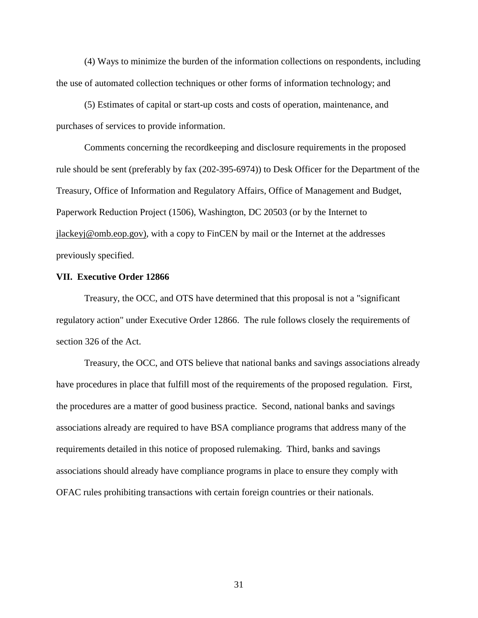(4) Ways to minimize the burden of the information collections on respondents, including the use of automated collection techniques or other forms of information technology; and

(5) Estimates of capital or start-up costs and costs of operation, maintenance, and purchases of services to provide information.

Comments concerning the recordkeeping and disclosure requirements in the proposed rule should be sent (preferably by fax (202-395-6974)) to Desk Officer for the Department of the Treasury, Office of Information and Regulatory Affairs, Office of Management and Budget, Paperwork Reduction Project (1506), Washington, DC 20503 (or by the Internet to jlackeyj@omb.eop.gov), with a copy to FinCEN by mail or the Internet at the addresses previously specified.

#### **VII. Executive Order 12866**

Treasury, the OCC, and OTS have determined that this proposal is not a "significant regulatory action" under Executive Order 12866. The rule follows closely the requirements of section 326 of the Act.

Treasury, the OCC, and OTS believe that national banks and savings associations already have procedures in place that fulfill most of the requirements of the proposed regulation. First, the procedures are a matter of good business practice. Second, national banks and savings associations already are required to have BSA compliance programs that address many of the requirements detailed in this notice of proposed rulemaking. Third, banks and savings associations should already have compliance programs in place to ensure they comply with OFAC rules prohibiting transactions with certain foreign countries or their nationals.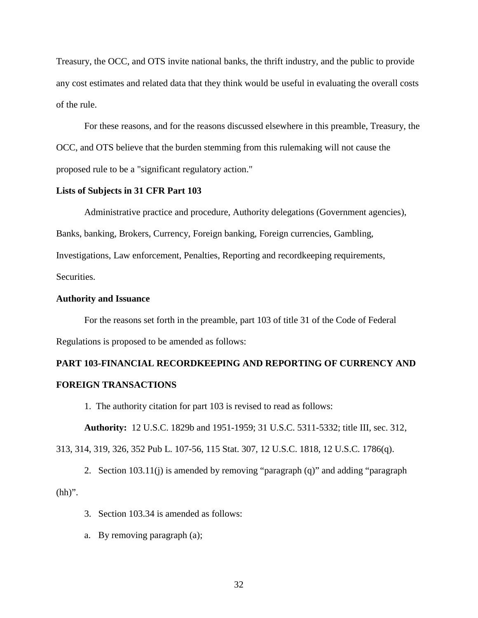Treasury, the OCC, and OTS invite national banks, the thrift industry, and the public to provide any cost estimates and related data that they think would be useful in evaluating the overall costs of the rule.

For these reasons, and for the reasons discussed elsewhere in this preamble, Treasury, the OCC, and OTS believe that the burden stemming from this rulemaking will not cause the proposed rule to be a "significant regulatory action."

## **Lists of Subjects in 31 CFR Part 103**

Administrative practice and procedure, Authority delegations (Government agencies), Banks, banking, Brokers, Currency, Foreign banking, Foreign currencies, Gambling, Investigations, Law enforcement, Penalties, Reporting and recordkeeping requirements, Securities.

## **Authority and Issuance**

For the reasons set forth in the preamble, part 103 of title 31 of the Code of Federal Regulations is proposed to be amended as follows:

## **PART 103-FINANCIAL RECORDKEEPING AND REPORTING OF CURRENCY AND FOREIGN TRANSACTIONS**

1. The authority citation for part 103 is revised to read as follows:

**Authority:** 12 U.S.C. 1829b and 1951-1959; 31 U.S.C. 5311-5332; title III, sec. 312,

313, 314, 319, 326, 352 Pub L. 107-56, 115 Stat. 307, 12 U.S.C. 1818, 12 U.S.C. 1786(q).

2. Section 103.11(j) is amended by removing "paragraph (q)" and adding "paragraph  $(hh)$ ".

- 3. Section 103.34 is amended as follows:
- a. By removing paragraph (a);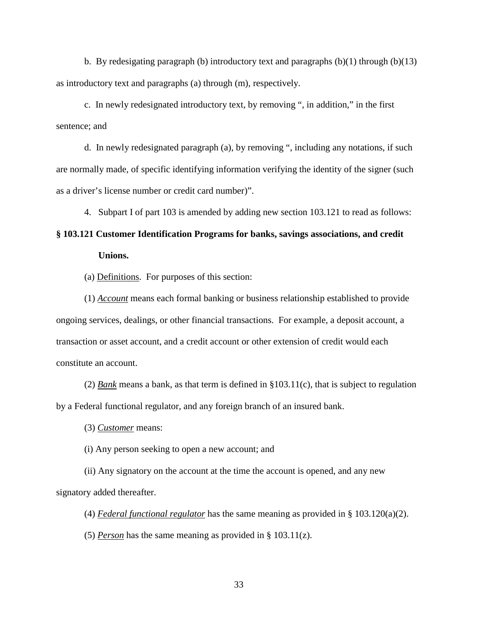b. By redesigating paragraph (b) introductory text and paragraphs  $(b)(1)$  through  $(b)(13)$ as introductory text and paragraphs (a) through (m), respectively.

c. In newly redesignated introductory text, by removing ", in addition," in the first sentence; and

d. In newly redesignated paragraph (a), by removing ", including any notations, if such are normally made, of specific identifying information verifying the identity of the signer (such as a driver's license number or credit card number)".

4. Subpart I of part 103 is amended by adding new section 103.121 to read as follows:

# **§ 103.121 Customer Identification Programs for banks, savings associations, and credit Unions.**

(a) Definitions. For purposes of this section:

(1) *Account* means each formal banking or business relationship established to provide ongoing services, dealings, or other financial transactions. For example, a deposit account, a transaction or asset account, and a credit account or other extension of credit would each constitute an account.

(2) *Bank* means a bank, as that term is defined in §103.11(c), that is subject to regulation by a Federal functional regulator, and any foreign branch of an insured bank.

(3) *Customer* means:

(i) Any person seeking to open a new account; and

(ii) Any signatory on the account at the time the account is opened, and any new signatory added thereafter.

(4) *Federal functional regulator* has the same meaning as provided in § 103.120(a)(2).

(5) *Person* has the same meaning as provided in § 103.11(z).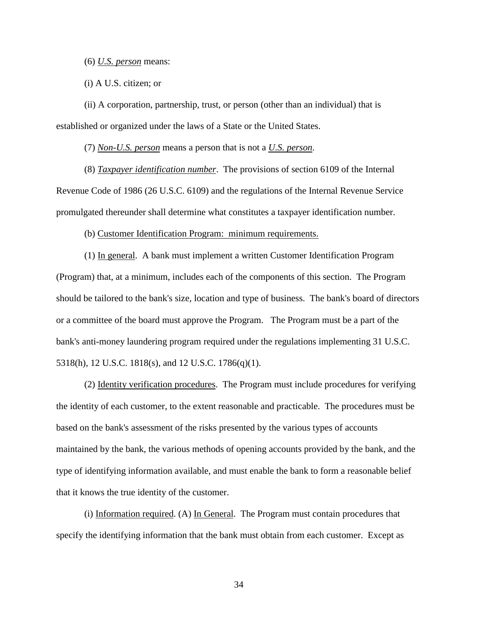(6) *U.S. person* means:

(i) A U.S. citizen; or

(ii) A corporation, partnership, trust, or person (other than an individual) that is established or organized under the laws of a State or the United States.

(7) *Non-U.S. person* means a person that is not a *U.S. person*.

(8) *Taxpayer identification number*. The provisions of section 6109 of the Internal Revenue Code of 1986 (26 U.S.C. 6109) and the regulations of the Internal Revenue Service promulgated thereunder shall determine what constitutes a taxpayer identification number.

(b) Customer Identification Program: minimum requirements.

(1) In general. A bank must implement a written Customer Identification Program (Program) that, at a minimum, includes each of the components of this section. The Program should be tailored to the bank's size, location and type of business. The bank's board of directors or a committee of the board must approve the Program. The Program must be a part of the bank's anti-money laundering program required under the regulations implementing 31 U.S.C. 5318(h), 12 U.S.C. 1818(s), and 12 U.S.C. 1786(q)(1).

(2) Identity verification procedures. The Program must include procedures for verifying the identity of each customer, to the extent reasonable and practicable. The procedures must be based on the bank's assessment of the risks presented by the various types of accounts maintained by the bank, the various methods of opening accounts provided by the bank, and the type of identifying information available, and must enable the bank to form a reasonable belief that it knows the true identity of the customer.

(i) Information required. (A) In General. The Program must contain procedures that specify the identifying information that the bank must obtain from each customer. Except as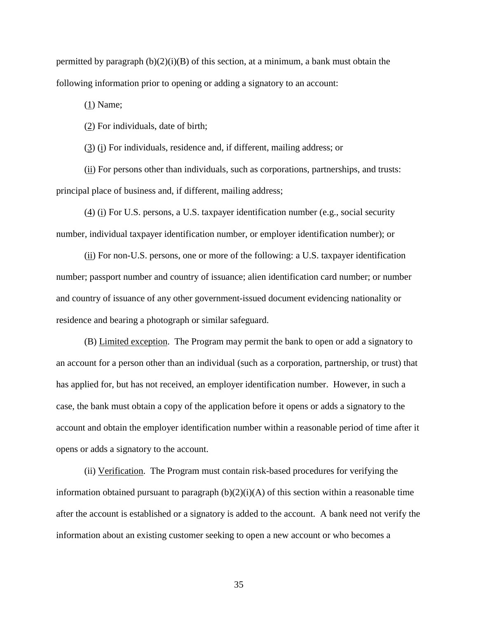permitted by paragraph  $(b)(2)(i)(B)$  of this section, at a minimum, a bank must obtain the following information prior to opening or adding a signatory to an account:

(1) Name;

(2) For individuals, date of birth;

(3) (i) For individuals, residence and, if different, mailing address; or

(ii) For persons other than individuals, such as corporations, partnerships, and trusts: principal place of business and, if different, mailing address;

(4) (i) For U.S. persons, a U.S. taxpayer identification number (e.g., social security number, individual taxpayer identification number, or employer identification number); or

(ii) For non-U.S. persons, one or more of the following: a U.S. taxpayer identification number; passport number and country of issuance; alien identification card number; or number and country of issuance of any other government-issued document evidencing nationality or residence and bearing a photograph or similar safeguard.

(B) Limited exception. The Program may permit the bank to open or add a signatory to an account for a person other than an individual (such as a corporation, partnership, or trust) that has applied for, but has not received, an employer identification number. However, in such a case, the bank must obtain a copy of the application before it opens or adds a signatory to the account and obtain the employer identification number within a reasonable period of time after it opens or adds a signatory to the account.

(ii) Verification. The Program must contain risk-based procedures for verifying the information obtained pursuant to paragraph  $(b)(2)(i)(A)$  of this section within a reasonable time after the account is established or a signatory is added to the account. A bank need not verify the information about an existing customer seeking to open a new account or who becomes a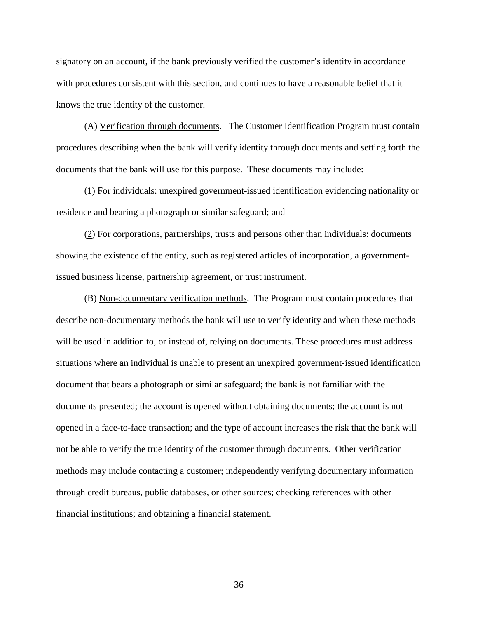signatory on an account, if the bank previously verified the customer's identity in accordance with procedures consistent with this section, and continues to have a reasonable belief that it knows the true identity of the customer.

(A) Verification through documents. The Customer Identification Program must contain procedures describing when the bank will verify identity through documents and setting forth the documents that the bank will use for this purpose. These documents may include:

(1) For individuals: unexpired government-issued identification evidencing nationality or residence and bearing a photograph or similar safeguard; and

(2) For corporations, partnerships, trusts and persons other than individuals: documents showing the existence of the entity, such as registered articles of incorporation, a governmentissued business license, partnership agreement, or trust instrument.

(B) Non-documentary verification methods. The Program must contain procedures that describe non-documentary methods the bank will use to verify identity and when these methods will be used in addition to, or instead of, relying on documents. These procedures must address situations where an individual is unable to present an unexpired government-issued identification document that bears a photograph or similar safeguard; the bank is not familiar with the documents presented; the account is opened without obtaining documents; the account is not opened in a face-to-face transaction; and the type of account increases the risk that the bank will not be able to verify the true identity of the customer through documents. Other verification methods may include contacting a customer; independently verifying documentary information through credit bureaus, public databases, or other sources; checking references with other financial institutions; and obtaining a financial statement.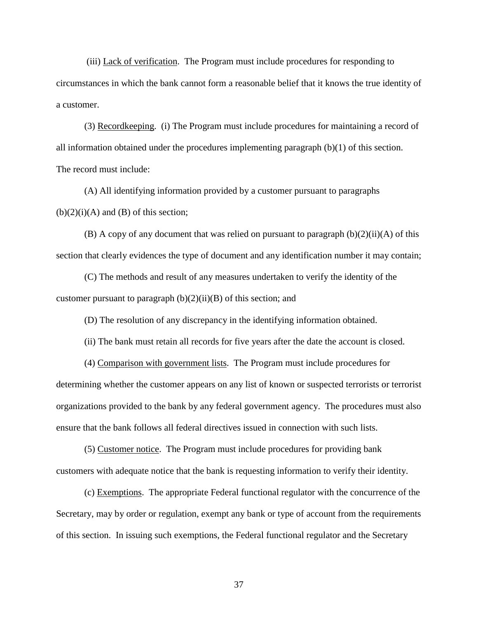(iii) Lack of verification. The Program must include procedures for responding to circumstances in which the bank cannot form a reasonable belief that it knows the true identity of a customer.

(3) Recordkeeping. (i) The Program must include procedures for maintaining a record of all information obtained under the procedures implementing paragraph (b)(1) of this section. The record must include:

(A) All identifying information provided by a customer pursuant to paragraphs  $(b)(2)(i)(A)$  and  $(B)$  of this section;

(B) A copy of any document that was relied on pursuant to paragraph  $(b)(2)(ii)(A)$  of this section that clearly evidences the type of document and any identification number it may contain;

(C) The methods and result of any measures undertaken to verify the identity of the customer pursuant to paragraph  $(b)(2)(ii)(B)$  of this section; and

(D) The resolution of any discrepancy in the identifying information obtained.

(ii) The bank must retain all records for five years after the date the account is closed.

(4) Comparison with government lists. The Program must include procedures for determining whether the customer appears on any list of known or suspected terrorists or terrorist organizations provided to the bank by any federal government agency. The procedures must also ensure that the bank follows all federal directives issued in connection with such lists.

(5) Customer notice. The Program must include procedures for providing bank customers with adequate notice that the bank is requesting information to verify their identity.

(c) Exemptions. The appropriate Federal functional regulator with the concurrence of the Secretary, may by order or regulation, exempt any bank or type of account from the requirements of this section. In issuing such exemptions, the Federal functional regulator and the Secretary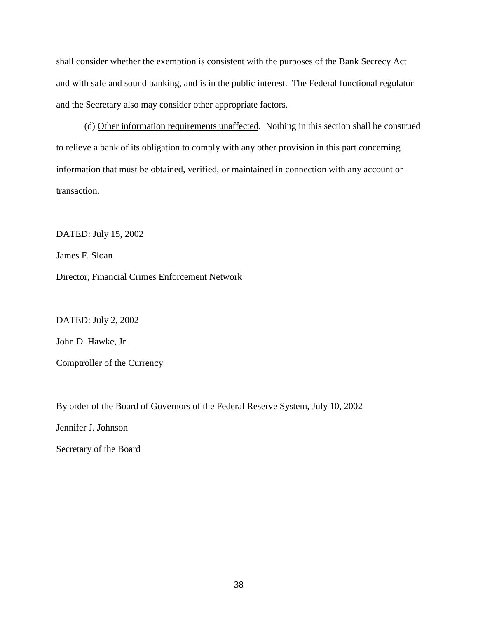shall consider whether the exemption is consistent with the purposes of the Bank Secrecy Act and with safe and sound banking, and is in the public interest. The Federal functional regulator and the Secretary also may consider other appropriate factors.

(d) Other information requirements unaffected. Nothing in this section shall be construed to relieve a bank of its obligation to comply with any other provision in this part concerning information that must be obtained, verified, or maintained in connection with any account or transaction.

DATED: July 15, 2002

James F. Sloan

Director, Financial Crimes Enforcement Network

DATED: July 2, 2002

John D. Hawke, Jr.

Comptroller of the Currency

By order of the Board of Governors of the Federal Reserve System, July 10, 2002

Jennifer J. Johnson

Secretary of the Board